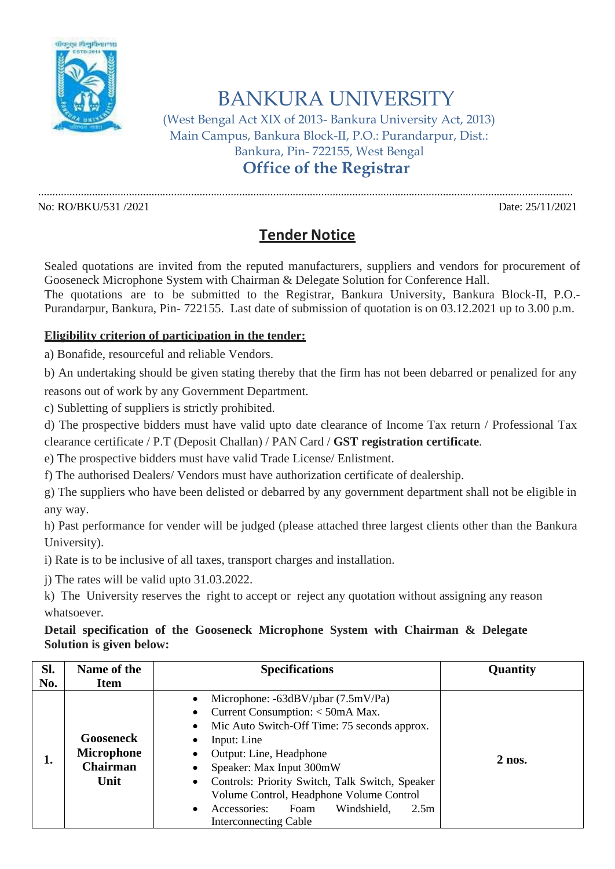

BANKURA UNIVERSITY

(West Bengal Act XIX of 2013- Bankura University Act, 2013) Main Campus, Bankura Block-II, P.O.: Purandarpur, Dist.: Bankura, Pin- 722155, West Bengal

**Office of the Registrar**

No: RO/BKU/531 /2021 Date: 25/11/2021

## **Tender Notice**

.............................................................................................................................................................................................

Sealed quotations are invited from the reputed manufacturers, suppliers and vendors for procurement of Gooseneck Microphone System with Chairman & Delegate Solution for Conference Hall.

The quotations are to be submitted to the Registrar, Bankura University, Bankura Block-II, P.O.- Purandarpur, Bankura, Pin- 722155. Last date of submission of quotation is on 03.12.2021 up to 3.00 p.m.

## **Eligibility criterion of participation in the tender:**

a) Bonafide, resourceful and reliable Vendors.

b) An undertaking should be given stating thereby that the firm has not been debarred or penalized for any

reasons out of work by any Government Department.

c) Subletting of suppliers is strictly prohibited.

d) The prospective bidders must have valid upto date clearance of Income Tax return / Professional Tax clearance certificate / P.T (Deposit Challan) / PAN Card / **GST registration certificate**.

e) The prospective bidders must have valid Trade License/ Enlistment.

f) The authorised Dealers/ Vendors must have authorization certificate of dealership.

g) The suppliers who have been delisted or debarred by any government department shall not be eligible in any way.

h) Past performance for vender will be judged (please attached three largest clients other than the Bankura University).

i) Rate is to be inclusive of all taxes, transport charges and installation.

j) The rates will be valid upto 31.03.2022.

k) The University reserves the right to accept or reject any quotation without assigning any reason whatsoever.

## **Detail specification of the Gooseneck Microphone System with Chairman & Delegate Solution is given below:**

| Sl. | Name of the                                                      | <b>Specifications</b>                                                                                                                                                                                                                                                                                                                                                                 | Quantity |
|-----|------------------------------------------------------------------|---------------------------------------------------------------------------------------------------------------------------------------------------------------------------------------------------------------------------------------------------------------------------------------------------------------------------------------------------------------------------------------|----------|
| No. | <b>Item</b>                                                      |                                                                                                                                                                                                                                                                                                                                                                                       |          |
| ı.  | <b>Gooseneck</b><br><b>Microphone</b><br><b>Chairman</b><br>Unit | Microphone: $-63dBV/\mu bar$ (7.5mV/Pa)<br>Current Consumption: < 50mA Max.<br>Mic Auto Switch-Off Time: 75 seconds approx.<br>Input: Line<br>Output: Line, Headphone<br>Speaker: Max Input 300mW<br>Controls: Priority Switch, Talk Switch, Speaker<br>$\bullet$<br>Volume Control, Headphone Volume Control<br>Accessories:<br>Windshield,<br>Foam<br>2.5m<br>Interconnecting Cable | $2$ nos. |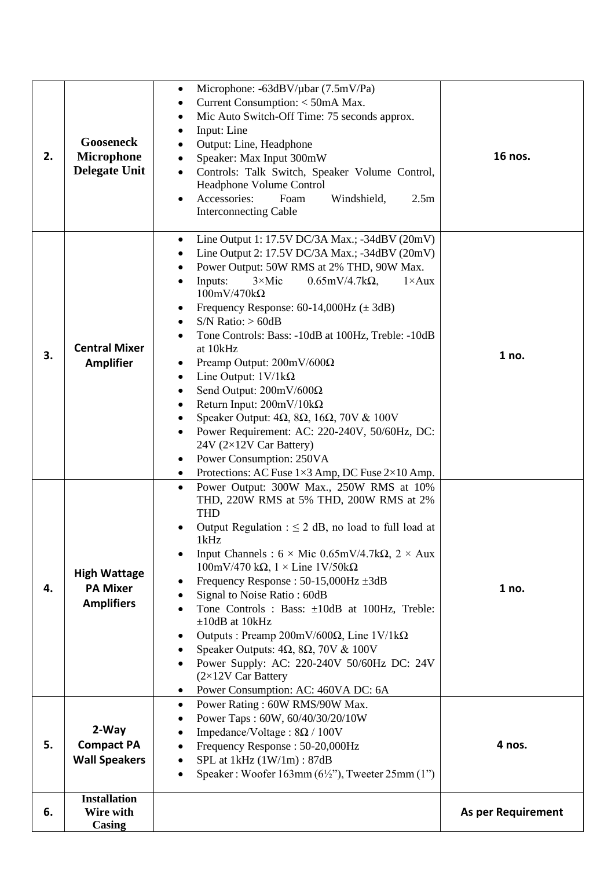| 2. | <b>Gooseneck</b><br><b>Microphone</b><br><b>Delegate Unit</b> | Microphone: -63dBV/µbar (7.5mV/Pa)<br>$\bullet$<br>Current Consumption: < 50mA Max.<br>$\bullet$<br>Mic Auto Switch-Off Time: 75 seconds approx.<br>٠<br>Input: Line<br>$\bullet$<br>Output: Line, Headphone<br>$\bullet$<br>Speaker: Max Input 300mW<br>Controls: Talk Switch, Speaker Volume Control,<br>Headphone Volume Control<br>Accessories:<br>Foam<br>Windshield,<br>2.5 <sub>m</sub><br><b>Interconnecting Cable</b>                                                                                                                                                                                                                                                                                                                                                                                                                                                  | 16 nos.                   |
|----|---------------------------------------------------------------|---------------------------------------------------------------------------------------------------------------------------------------------------------------------------------------------------------------------------------------------------------------------------------------------------------------------------------------------------------------------------------------------------------------------------------------------------------------------------------------------------------------------------------------------------------------------------------------------------------------------------------------------------------------------------------------------------------------------------------------------------------------------------------------------------------------------------------------------------------------------------------|---------------------------|
| 3. | <b>Central Mixer</b><br><b>Amplifier</b>                      | Line Output 1: 17.5V DC/3A Max.; -34dBV (20mV)<br>$\bullet$<br>Line Output 2: 17.5V DC/3A Max.; -34dBV (20mV)<br>٠<br>Power Output: 50W RMS at 2% THD, 90W Max.<br>$\bullet$<br>Inputs:<br>$3 \times$ Mic<br>$0.65$ mV/4.7k $\Omega$ ,<br>$1 \times Aux$<br>$\bullet$<br>$100mV/470k\Omega$<br>Frequency Response: $60-14,000$ Hz ( $\pm 3$ dB)<br>$S/N$ Ratio: $> 60dB$<br>Tone Controls: Bass: -10dB at 100Hz, Treble: -10dB<br>at 10kHz<br>Preamp Output: 200mV/600Ω<br>Line Output: $1 \text{V}/1 \text{k}\Omega$<br>$\bullet$<br>Send Output: 200mV/600Ω<br>٠<br>Return Input: $200mV/10k\Omega$<br>$\bullet$<br>Speaker Output: $4\Omega$ , $8\Omega$ , $16\Omega$ , $70V$ & $100V$<br>Power Requirement: AC: 220-240V, 50/60Hz, DC:<br>24V (2×12V Car Battery)<br>Power Consumption: 250VA<br>Protections: AC Fuse $1\times3$ Amp, DC Fuse $2\times10$ Amp.<br>$\bullet$ | 1 no.                     |
| 4. | <b>High Wattage</b><br><b>PA Mixer</b><br><b>Amplifiers</b>   | Power Output: 300W Max., 250W RMS at 10%<br>$\bullet$<br>THD, 220W RMS at 5% THD, 200W RMS at 2%<br><b>THD</b><br>Output Regulation : $\leq$ 2 dB, no load to full load at<br>1kHz.<br>Input Channels : $6 \times$ Mic 0.65mV/4.7k $\Omega$ , $2 \times$ Aux<br>$100mV/470 k\Omega$ , $1 \times$ Line $1V/50k\Omega$<br>Frequency Response : $50-15,000$ Hz $\pm 3$ dB<br>Signal to Noise Ratio: 60dB<br>Tone Controls : Bass: ±10dB at 100Hz, Treble:<br>$\pm 10$ dB at 10kHz<br>Outputs : Preamp 200mV/600 $\Omega$ , Line 1V/1k $\Omega$<br>Speaker Outputs: $4\Omega$ , $8\Omega$ , $70V$ & $100V$<br>Power Supply: AC: 220-240V 50/60Hz DC: 24V<br>$(2\times12V$ Car Battery<br>Power Consumption: AC: 460VA DC: 6A                                                                                                                                                        | 1 no.                     |
| 5. | 2-Way<br><b>Compact PA</b><br><b>Wall Speakers</b>            | Power Rating: 60W RMS/90W Max.<br>$\bullet$<br>Power Taps: 60W, 60/40/30/20/10W<br>$\bullet$<br>Impedance/Voltage: $8\Omega / 100V$<br>$\bullet$<br>Frequency Response: 50-20,000Hz<br>SPL at 1kHz (1W/1m): 87dB<br>Speaker: Woofer $163mm(6\frac{1}{2})$ , Tweeter $25mm(1")$                                                                                                                                                                                                                                                                                                                                                                                                                                                                                                                                                                                                  | 4 nos.                    |
| 6. | <b>Installation</b><br>Wire with<br>Casing                    |                                                                                                                                                                                                                                                                                                                                                                                                                                                                                                                                                                                                                                                                                                                                                                                                                                                                                 | <b>As per Requirement</b> |